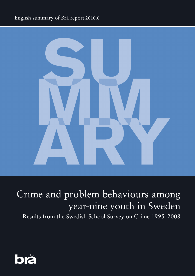# English summary of Brå report 2010:6



# Crime and problem behaviours among year-nine youth in Sweden

Results from the Swedish School Survey on Crime 1995–2008

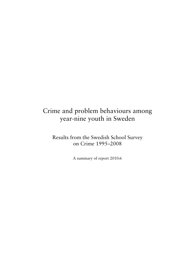# Crime and problem behaviours among year-nine youth in Sweden

Results from the Swedish School Survey on Crime 1995–2008

A summary of report 2010:6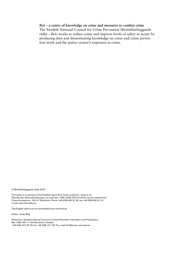#### **Brå – a centre of knowledge on crime and measures to combat crime**

The Swedish National Council for Crime Prevention (Brottsförebyggande rådet – Brå) works to reduce crime and improve levels of safety in siciety by producing data and disseminating knowledge on crime and crime prevention work and the justice system's responses to crime.

© Brottsförebyggande rådet 2010

This report is a summary of the Swedish report *Brott bland ungdomar i årskurs nio. Resultat från Skolundersökningen om brott åren 1995*–2008, 2010:6 which can be ordered from Fritzes Kundservice, 106 47 Stockholm. Phone +46 (0)8-690 91 90, fax +46 (0)8-690 91 91, e-mail order.fritzes@nj.se

This English report can be downloaded from www.bra.se

Author: Jonas Ring

Production: Swedish National Council for Crime Prevention, Information and Publications, Box 1386, SE-111 93 Stockholm, Sweden +46 (0)8–401 87 00, fax +46 (0)8–411 90 75, e-mail info@bra.se, www.bra.se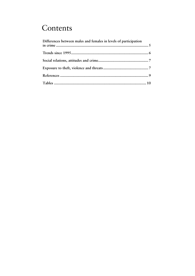# Contents

| Differences between males and females in levels of participation |  |
|------------------------------------------------------------------|--|
|                                                                  |  |
|                                                                  |  |
|                                                                  |  |
|                                                                  |  |
|                                                                  |  |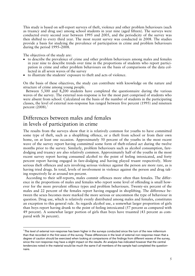This study is based on self-report surveys of theft, violence and other problem behaviours (such as truancy and drug use) among school students in year nine (aged fifteen). The surveys were conducted every second year between 1995 and 2005, and the periodicity of the survey was then shifted to every third year. The most recent survey was conducted in 2008. The studies provide a basis for studying the prevalence of participation in crime and problem behaviours during the period 1995–2008.

The objectives of the study are:

-

- to describe the prevalence of crime and other problem behaviours among males and females in year nine to describe trends over time in the proportions of students who report participation in crime and other problem behaviours on the basis of comparisons of the data collected in all seven waves of the survey
- to illustrate the students' exposure to theft and acts of violence.

On the basis of these objectives, the study can contribute with knowledge on the nature and structure of crime among young people.

 Between 5,300 and 8,200 students have completed the questionnaire during the various waves of the survey. The external non-response is for the most part comprised of students who were absent from school. Calculated on the basis of the number of students in the participating classes, the level of external non-response has ranged between five percent (1995) and nineteen percent  $(2008).$ <sup>1</sup>

## Differences between males and females in levels of participation in crime

The results from the surveys show that it is relatively common for youths to have committed some type of theft, such as a shoplifting offence, or a theft from school or from their own home, on at least one occasion. Approximately 50 percent of the youths in the most recent wave of the survey report having committed some form of theft-related act during the twelve months prior to the survey. Similarly, problem behaviours such as alcohol consumption, faredodging and truancy are also relatively common. Approximately half of the youths in the most recent survey report having consumed alcohol to the point of feeling intoxicated, and forty percent report having engaged in fare-dodging and having played truant respectively. More serious theft offences and acts involving serious violence against the person are more rare, as is having tried drugs. In total, levels of involvement in violence against the person and drug taking respectively lie at around ten percent.

 According to their self-reports, males commit offences more often than females. The difference in the proportions of males and females who report some level of offending is small however for the more prevalent offence types and problem behaviours. Twenty-six percent of the males and 22 percent of the females report having engaged in shoplifting. The difference between the sexes becomes more marked the more serious or uncommon the type of behaviour in question. Drug use, which is relatively evenly distributed among males and females, constitutes an exception to this general rule. As regards alcohol use, a somewhat larger proportion of girls than boys report having drunk to the point of feeling intoxicated (57 percent as compared with 49 percent). A somewhat larger portion of girls than boys have truanted (43 percent as compared with 36 percent).

<sup>&</sup>lt;sup>1</sup>The level of external non-response has been higher in the surveys conducted since the turn of the new millennium than that recorded in the first wave of the survey. These differences in the level of external non-response mean that a degree of caution should be exercised when looking at comparisons of the findings from different waves of the survey, since the non-response may have a slight impact on the results. An analysis has indicated however that the central tendencies noted in the material would be much the same if all members of the sample had completed the questionnaire.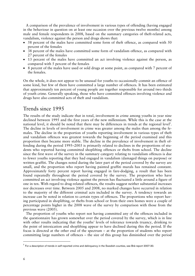A comparison of the prevalence of involvement in various types of offending (having engaged in the behaviour in question on at least one occasion over the previous twelve months) among male and female respondents in 2008, based on the summary categories of theft-related acts, vandalism, violence against the person and drugs shows that:

- 58 percent of the males have committed some form of theft offence, as compared with 50 percent of the females
- 38 percent of the males have committed some form of vandalism offence, as compared with 27 percent of the females
- 13 percent of the males have committed an act involving violence against the person, as compared with 5 percent of the females
- 8 percent of the males have used or sold drugs at some point, as compared with 7 percent of the females.

On the whole, it does not appear to be unusual for youths to occasionally commit an offence of some kind, but few of them have committed a large number of offences. It has been estimated that approximately ten percent of young people are together responsible for around two thirds of youth crime. Generally speaking, those who have committed offences involving violence and drugs have also committed acts of theft and vandalism.

## Trends since 1995

The results of the study indicate that in total, involvement in crime among youths in year nine declined between 1995 and the first years of the new millennium. While this is the case at the national level, it should be noted that there may be differences in trends at the regional level<sup>2</sup>. The decline in levels of involvement in crime was greater among the males than among the females. The decline in the proportion of youths reporting involvement in various types of theft and vandalism offences was greatest towards the beginning of the period examined and this proportion then became more stable. The decline in the prevalence of involvement in theft offending during the period 1995–2003 is primarily related to declines in the proportions of students who reported having committed shoplifting offences or thefts from school. The decline since the first wave of the survey in the summary category relating to vandalism offences is due to fewer youths reporting that they had engaged in vandalism (damaged things on purpose) or written graffiti. The changes noted during the later part of the period covered by the survey are small, and the proportion who report having painted graffiti murals has remained constant. Approximately forty percent report having engaged in fare-dodging, a result that has been found repeatedly throughout the period covered by the survey. The proportion who have committed an act involving violence against the person has fluctuated a little around a figure of one in ten. With regard to drug-related offences, the results suggest neither substantial increases nor decreases over time. Between 2005 and 2008, no marked changes have occurred in relation to the majority of the different criminal acts included in the survey. A tendency towards an increase can be noted in relation to certain types of offences. The proportions who report having participated in shoplifting, or thefts from school or from their own homes were a couple of percentage points higher in the 2008 wave of the survey by comparison with those from the previous wave (2005).

 The proportion of youths who report not having committed any of the offences included in the questionnaire has grown somewhat over the period covered by the survey, which is in line with other results indicating that the youths' levels of tolerance towards truancy, drinking to the point of intoxication and shoplifting appear to have declined during this the period. If the focus is directed at the other end of the spectrum – at the proportion of students who report committing large numbers of offences – the size of this group has diminished over the period

-

 $2$  For a description of trends in self-reported crime and delinquency in the Swedish counties, see Brå-report 2007:30.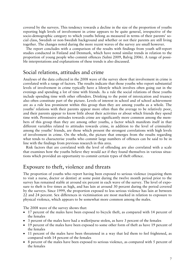covered by the surveys. This tendency towards a decline in the size of the proportion of youths reporting high levels of involvement in crime appears to be quite general, irrespective of the socio-demographic category to which youths belong as measured in terms of their parents' social class, Swedish or non-Swedish background and whether or not their parents are still living together. The changes noted during the more recent waves of the survey are small however.

 The report concludes with a comparison of the results with findings from youth self-report studies conducted in Finland and Denmark, which have noted similar trends in relation to the proportion of young people who commit offences (Salmi 2009, Balvig 2006). A range of possible interpretations and explanations of these trends is also discussed.

### Social relations, attitudes and crime

Analyses of the data collected in the 2008 wave of the survey show that involvement in crime is correlated with a range of factors. The results indicate that those youths who report substantial levels of involvement in crime typically have a lifestyle which involves often going out in the evenings and spending a lot of time with friends. As a rule the social relations of these youths include spending time with other offenders. Drinking to the point of intoxication and truancy also often constitute part of the picture. Levels of interest in school and of school achievement are as a rule less prominent within this group than they are among youths as a whole. The youths' relations with their parents appear more often than the average to be relatively poor, and their parents appear to know little about their activities or about which friends they spend time with. Permissive attitudes towards crime are significantly more common among the members of this group than they are among other youths, a factor which manifests itself in that different variables related to attitudes towards crime, in addition to the level of criminality among the youths' friends, are those which present the strongest correlations with high levels of involvement in crime. On the whole, the picture that emerges from the results regarding what tends to characterise youths who commit large numbers of offences can be said to be in line with the findings from previous research in this area.

 Risk factors that are correlated with the level of offending are also correlated with a scale that examines how the youths believe they would act if they found themselves in various situations which provided an opportunity to commit certain types of theft offence.

### Exposure to theft, violence and threats

The proportion of youths who report having been exposed to serious violence (requiring them to visit a nurse, doctor or dentist) at some point during the twelve month period prior to the survey has remained stable at around six percent in each wave of the survey. The level of exposure to theft is five times as high, and has lain at around 30 percent during the period covered by the surveys. Since 1999, the proportion exposed to less serious violence has lain at between 22 and 24 percent. Sex differences in victimisation are most marked in relation to exposure to physical violence, which appears to be somewhat more common among the males.

The 2008 wave of the survey shows that:

- 17 percent of the males have been exposed to bicycle theft, as compared with 14 percent of the females
- 3 percent of the males have had a wallet/purse stolen, as have 3 percent of the females
- 19 percent of the males have been exposed to some other form of theft as have 19 percent of the females
- 11 percent of the males have been threatened in a way that led them to feel frightened, as compared with 14 percent of the females
- 8 percent of the males have been exposed to serious violence, as compared with 5 percent of the females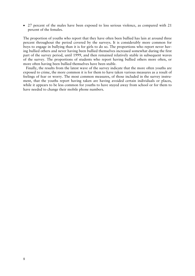• 27 percent of the males have been exposed to less serious violence, as compared with 21 percent of the females.

The proportion of youths who report that they have often been bullied has lain at around three percent throughout the period covered by the surveys. It is considerably more common for boys to engage in bullying than it is for girls to do so. The proportions who report never having bullied others and never having been bullied themselves increased somewhat during the first part of the survey period, until 1999, and then remained relatively stable in subsequent waves of the survey. The proportions of students who report having bullied others more often, or more often having been bullied themselves have been stable.

 Finally, the results from the latest wave of the survey indicate that the more often youths are exposed to crime, the more common it is for them to have taken various measures as a result of feelings of fear or worry. The most common measures, of those included in the survey instrument, that the youths report having taken are having avoided certain individuals or places, while it appears to be less common for youths to have stayed away from school or for them to have needed to change their mobile phone numbers.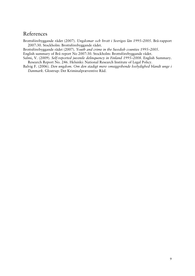## References

Brottsförebyggande rådet (2007). *Ungdomar och brott i Sveriges län 1995–2005*. Brå-rapport 2007:30. Stockholm: Brottsförebyggande rådet.

Brottsförebyggande rådet (2007). *Youth and crime in the Swedish counties 1995–2005*.

English summary of Brå report No 2007:30. Stockholm: Brottsförebyggande rådet.

Salmi, V. (2009). *Self-reported juvenile delinquency in Finland 1995–2008*. English Summary. Research Report No. 246. Helsinki: National Research Institute of Legal Policy.

Balvig F. (2006). *Den ungdom. Om den stadigt mere omsiggribende lovlydighed blandt unge i Danmark.* Glostrup: Det Kriminalpræventive Råd.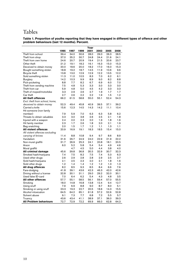# Tables

**Table 1. Proportion of youths reporting that they have engaged in different types of offence and other problem behaviours (last 12 months). Percent.** 

|                                |      |      |         | Year |      |      |      |
|--------------------------------|------|------|---------|------|------|------|------|
|                                | 1995 | 1997 | 1999    | 2001 | 2003 | 2005 | 2008 |
| Theft from school              | 39.4 | 34.0 | 30.6    | 28.0 | 29.0 | 26.3 | 28.5 |
| Theft from shop                | 37.0 | 35.2 | 30.7    | 24.8 | 24.4 | 21.6 | 24.1 |
| Theft from own home            | 24.6 | 20.7 | 20.9    | 19.4 | 21.5 | 20.6 | 23.7 |
| Other theft                    | 21.2 | 19.1 | 18.2    | 16.1 | 16.3 | 15.0 | 15.3 |
| Deceived to obtain money       | 20.0 | 18.6 | 20.0    | 18.2 | 17.0 | 16.0 | 15.3 |
| Bought something stolen        | 18.8 | 19.2 | 18.7    | 14.5 | 11.9 | 10.6 | 9.6  |
| <b>Bicycle theft</b>           | 13.8 | 13.0 | 12.9    | 12.9 | 12.2 | 13.5 | 12.2 |
| Sold something stolen          | 11.3 | 11.0 | 10.5    | 8.3  | 7.0  | 6.2  | 6.1  |
| <b>Burglary</b>                | 14.2 | 10.3 | 9.9     | 8.9  | 9.0  | 8.2  | 8.8  |
| Pick-pocketing                 | 8.8  | 7.7  | 8.2     | 6.7  | 6.9  | 6.0  | 7.0  |
| Theft from vending machine     | 7.5  | 4.8  | 5.3     | 3.3  | 3.0  | 3.3  | 3.0  |
| Theft from car                 | 5.9  | 4.8  | 5.0     | 4.5  | 4.2  | 3.3  | 3.3  |
| Theft of moped/motorbike       | 3.3  | 2.9  | 2.6     | 2.7  | 1.9  | 1.7  | 1.7  |
| Car theft                      | 2.7  | 2.6  | $2.2\,$ | 2.2  | 1.9  | 1.5  | 1.2  |
| All theft offences             | 66.2 | 61.5 | 58.8    | 55.0 | 55.1 | 52.4 | 54.3 |
| Excl. theft from school, home, |      |      |         |      |      |      |      |
| deceived to obtain money       | 52.3 | 49.4 | 45.8    | 40.9 | 39.5 | 37.1 | 39.2 |
| Carried a knife                | 15.6 | 12.3 | 14.5    | 14.3 | 14.2 | 11.1 | 10.4 |
| Hit someone (non family        |      |      |         |      |      |      |      |
| member)                        | 7.9  | 5.9  | 7.0     | 6.3  | 6.3  | 5.8  | 6.2  |
| Threats to obtain valuables    | 3.3  | 3.0  | 3.8     | 2.6  | 2.5  | 2.1  | 1.8  |
| Injured with a weapon          | 2.4  | 2.0  | 2.3     | 2.0  | 1.9  | 1.8  | 1.6  |
| Hit family member              | 2.3  | 1.7  | 2.6     | 1.8  | 2.0  | 2.1  | 1.9  |
| Bag snatching                  | 2.0  | 1.5  | 1.7     | 1.2  | 1.1  | 1.3  | 1.1  |
| <b>All violent offences</b>    | 20.9 | 16.9 | 19.1    | 18.3 | 18.5 | 15.4 | 15.0 |
| All violent offences excluding |      |      |         |      |      |      |      |
| carrying of knives             | 11.4 | 8.8  | 10.8    | 9.4  | 9.7  | 8.6  | 8.9  |
| Vandalism                      | 31.6 | 26.7 | 24.9    | 24.0 | 22.9 | 21.9 | 22.2 |
| Non-mural graffiti             | 31.7 | 26.9 | 25.3    | 24.1 | 20.8 | 18.1 | 20.5 |
| Arson                          | 6.0  | 5.2  | 5.8     | 5.4  | 5.4  | 4.9  | 4.6  |
| Mural graffiti                 |      | 4.7  | 4.5     | 5.0  | 4.4  | 3.8  | 4.0  |
| All criminal damage            | 45.6 | 39.8 | 36.8    | 35.5 | 32.9 | 30.7 | 32.3 |
| Smoked hash/marijuana          | 7.4  | 7.5  | 8.2     | 7.5  | 7.4  | 5.3  | 6.3  |
| Used other drugs               | 2.6  | 2.9  | 2.8     | 2.8  | 2.9  | 2.5  | 2.7  |
| Sold hash/marijuana            | 2.1  | 2.5  | 2.3     | 2.0  | 2.1  | 1.8  | 1.6  |
| Sold other drugs               | 1.2  | 1.4  | 1.4     | 1.2  | 1.2  | 1.3  | 1.3  |
| All drug offences              | 8.2  | 8.5  | 9.3     | 8.5  | 8.4  | 6.6  | 7.6  |
| Fare-dodging                   | 41.8 | 39.1 | 43.6    | 42.3 | 46.3 | 42.0 | 42.6 |
| Driving without a license      | 32.8 | 30.1 | 31.1    | 29.0 | 29.2 | 32.0 | 30.1 |
| Used false ID-card             | 7.0  | 6.4  | 6.2     | 5.4  | 4.3  | 4.8  | 3.5  |
| All other offences             | 57.7 | 55.1 | 58.5    | 56.1 | 59.4 | 57.0 | 55.5 |
| Smoking                        | 18.0 | 14.8 | 16.8    | 13.8 | 12.4 | 9.4  | 12.7 |
| Using snuff                    | 7.9  | 6.9  | 8.8     | 9.0  | 8.7  | 8.0  | 5.1  |
| Smoking or using snuff         | 23.3 | 19.3 | 22.7    | 20.5 | 18.6 | 14.3 | 15.5 |
| Alcohol intoxication           | 64.5 | 64.2 | 65.1    | 61.8 | 57.2 | 52.6 | 52.8 |
| Solvent abuse                  | 9.1  | 7.3  | 7.7     | 6.8  | 7.2  | 5.5  | 5.7  |
| Truancy                        | 43.6 | 43.4 | 41.1    | 38.9 | 37.1 | 36.0 | 39.3 |
| <b>All Problem behaviours</b>  | 72.7 | 72.9 | 72.2    | 69.9 | 66.0 | 62.8 | 64.3 |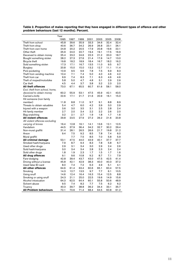| Year                                           |              |              |              |      |              |              |      |  |
|------------------------------------------------|--------------|--------------|--------------|------|--------------|--------------|------|--|
|                                                | 1995         | 1997         | 1999         | 2001 | 2003         | 2005         | 2008 |  |
| Theft from school                              | 45.8         | 39.6         | 35.9         | 33.3 | 34.6         | 32.4         | 32.4 |  |
| Theft from shop                                | 40.6         | 36.7         | 34.2         | 26.9 | 26.8         | 23.1         | 26.1 |  |
| Theft from own home                            | 24.8         | 20.2         | 20.5         | 17.9 | 20.8         | 19.6         | 22.1 |  |
| Other theft                                    | 25.9         | 24.0         | 22.7         | 19.4 | 19.1         | 17.5         | 16.9 |  |
| Deceived to obtain money                       | 25.4         | 23.2         | 24.6         | 22.3 | 21.2         | 20.0         | 18.7 |  |
| Bought something stolen                        | 28.2         | 27.3         | 27.6         | 21.4 | 17.6         | 14.7         | 13.0 |  |
| Bicycle theft                                  | 19.8         | 18.2         | 18.9         | 18.4 | 16.7         | 18.2         | 16.2 |  |
| Sold something stolen                          | 17.3         | 17.1         | 16.7         | 13.5 | 11.0         | 9.5          | 9.7  |  |
| <b>Burglary</b>                                | 20.8         | 15.0         | 15.0         | 13.2 | 12.7         | 11.1         | 11.4 |  |
| Pick-pocketing                                 | 10.9         | 9.5          | 9.6          | 7.8  | 7.5          | 6.9          | 8.3  |  |
| Theft from vending machine                     | 10.4         | 7.1          | 7.4          | 5.0  | 4.0          | 4.6          | 4.2  |  |
| Theft from car                                 | 9.9          | 7.4          | 8.3          | 7.1  | 6.3          | 4.6          | 4.6  |  |
| Theft of moped/motorbike                       | 5.8          | 5.0          | 4.7          | 4.8  | 3.1          | 2.9          | 2.6  |  |
| Car theft                                      | 4.5          | 4.4          | 3.7          | 3.8  | 3.2          | 2.3          | 2.0  |  |
| <b>All theft offences</b>                      | 73.0         | 67.1         | 65.5         | 60.7 | 61.6         | 58.1         | 58.0 |  |
| Excl. theft from school, home,                 |              |              |              |      |              |              |      |  |
| deceived to obtain money                       | 60.2         | 55.9         | 53.1         | 47.5 | 45.9         | 42.1         | 43.5 |  |
| Carried a knife                                | 22.6         | 17.1         | 21.7         | 21.6 | 20.9         | 16.1         | 15.0 |  |
| Hit someone (non family                        |              |              |              |      |              |              |      |  |
| member)                                        | 11.8         | 8.8          | 11.0         | 9.7  | 9.1          | 8.8          | 8.9  |  |
| Threats to obtain valuables                    | 5.4          | 4.7          | 6.0          | 4.2  | 3.9          | 3.0          | 2.9  |  |
| Injured with a weapon                          | 3.6          | 3.0          | 3.5          | 3.1  | 2.5          | 2.8          | 2.4  |  |
| Hit family member                              | 2.7          | 2.0          | 3.4          | 2.2  | 2.2          | 2.6          | 2.0  |  |
| Bag snatching                                  | 3.2          | 2.1          | 2.7          | 1.9  | 1.8          | 1.7          | 1.6  |  |
| <b>All violent offences</b>                    | 29.8         | 23.5         | 27.9         | 27.2 | 26.2         | 21.6         | 20.8 |  |
| All violent offences excluding                 |              |              |              |      |              |              |      |  |
| carrying of knives                             | 16.4         | 12.8         | 16.1         | 14.1 | 13.6         | 12.1         | 12.5 |  |
| Vandalism                                      | 44.5         | 37.9         | 36.4         | 34.2 | 32.7         | 30.2         | 29.4 |  |
| Non-mural graffiti                             | 31.4         | 28.1         | 26.5         | 26.6 | 21.7         | 19.8         | 21.2 |  |
| Arson                                          | 9.4          | 7.5          | 9.2          | 8.5  | 7.8          | 7.4          | 6.0  |  |
| Mural graffiti                                 |              | 7.7          | 7.5          | 8.5  | 7.0          | 5.8          | 5.9  |  |
| All criminal damage                            | 53.1         | 47.5         | 44.0         | 43.9 | 40.1         | 37.7         | 37.7 |  |
| Smoked hash/marijuana                          | 7.9          | 8.7          | 9.4          | 8.3  | 7.8          | 5.8          | 6.7  |  |
| Used other drugs                               | 2.9          | 3.1          | 3.4          | 3.0  | 2.9          | 2.4          | 2.6  |  |
| Sold hash/marijuana                            | 3.0          | 3.4          | 3.4          | 2.8  | 2.3          | 2.4          | 2.4  |  |
| Sold other drugs                               | 1.8          | 1.9          | 2.3          | 1.7  | 1.5          | 1.7          | 1.6  |  |
| All drug offences                              | 9.1          | 9.6          | 10.8         | 9.2  | 8.7          | 7.1          | 7.9  |  |
| Fare-dodging                                   | 42.8         | 39.4         | 43.7         | 43.0 | 47.5         | 42.5         | 41.4 |  |
| Driving without a license                      | 45.8         | 42.1         | 42.9         | 38.3 | 40.0         | 40.3         | 37.2 |  |
| Used false ID-card                             | 8.0          | 7.4          | 7.2          | 6.3  | 4.9          | 5.1          | 4.1  |  |
| <b>All other offences</b>                      | 64.6         | 61.4         | 63.4         | 60.6 | 65.1         | 60.4         | 57.5 |  |
| Smoking                                        | 14.3         | 12.7         | 13.5         | 9.7  | 7.7          | 6.1          | 10.5 |  |
|                                                | 14.6         | 12.4         | 16.4         | 16.3 | 15.4         | 12.5         | 8.8  |  |
| Using snuff                                    |              |              |              | 22.5 |              |              | 15.6 |  |
| Smoking or using snuff<br>Alcohol intoxication | 24.3<br>64.3 | 21.1<br>62.5 | 25.0<br>64.4 | 60.1 | 19.6<br>55.8 | 14.9<br>50.6 | 48.9 |  |
| Solvent abuse                                  | 9.5          | 7.4          | 8.2          | 7.7  | 7.5          | 6.2          | 6.2  |  |
|                                                |              |              |              |      |              |              |      |  |
| Truancy                                        | 40.3         | 39.7         | 38.8         | 36.2 | 34.4         | 33.1         | 35.7 |  |
| <b>All Problem behaviours</b>                  | 72.1         | 70.6         | 71.4         | 68.4 | 64.5         | 60.8         | 61.2 |  |

**Table 2. Proportion of males reporting that they have engaged in different types of offence and other problem behaviours (last 12 months). Percent.**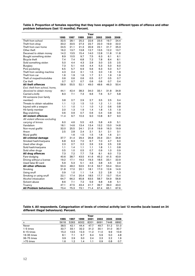| Table 3. Proportion of females reporting that they have engaged in different types of offence and other |  |
|---------------------------------------------------------------------------------------------------------|--|
| problem behaviours (last 12 months). Percent.                                                           |  |

|                                       | 1995 | 1997 | 1999 | Year<br>2001 | 2003 | 2005 | 2008 |
|---------------------------------------|------|------|------|--------------|------|------|------|
| Theft from school                     | 32.5 | 28.1 | 25.2 | 22.6         | 23.5 | 19.7 | 24.4 |
| Theft from shop                       | 33.2 | 33.5 | 27.3 | 22.7         | 22.0 | 19.9 | 22.0 |
| Theft from own home                   | 24.5 | 21.1 | 21.3 | 20.9         | 22.1 | 21.7 | 25.3 |
| Other theft                           | 16.2 | 13.7 | 13.8 | 12.7         | 13.5 | 12.2 | 13.7 |
| Deceived to obtain money              | 14.2 | 13.5 | 15.4 | 14.0         | 12.8 | 11.8 | 11.8 |
| Bought something stolen               | 8.9  | 10.5 | 9.7  | 7.5          | 6.3  | 6.1  | 6.1  |
| Bicycle theft                         | 7.4  | 7.4  | 6.8  | 7.2          | 7.8  | 8.4  | 8.1  |
| Sold something stolen                 | 5.0  | 4.4  | 4.3  | 2.9          | 3.0  | 2.5  | 2.5  |
| <b>Burglary</b>                       | 7.3  | 5.1  | 4.6  | 4.4          | 5.3  | 5.0  | 6.0  |
| Pick-pocketing                        | 6.5  | 5.7  | 6.9  | 5.6          | 6.3  | 5.0  | 5.7  |
| Theft from vending machine            | 4.3  | 2.4  | 3.1  | 1.5          | 2.0  | 1.9  | 1.9  |
| Theft from car                        | 1.6  | 1.9  | 1.6  | 1.7          | 2.1  | 1.9  | 1.9  |
|                                       | 0.6  | 0.6  | 0.6  | 0.5          | 0.7  | 0.5  | 0.7  |
| Theft of moped/motorbike<br>Car theft | 0.7  | 0.7  | 0.7  | 0.6          |      | 0.7  | 0.4  |
|                                       |      |      |      |              | 0.6  |      |      |
| <b>All theft offences</b>             | 58.9 | 55.5 | 52.1 | 49.0         | 48.6 | 46.3 | 50.4 |
| Excl. theft from school, home,        |      |      |      |              |      |      |      |
| deceived to obtain money              | 44.1 | 42.4 | 38.3 | 34.0         | 33.1 | 31.8 | 34.8 |
| Carried a knife                       | 8.3  | 7.1  | 7.3  | 6.6          | 7.6  | 5.7  | 5.8  |
| Hit someone (non family               |      |      |      |              |      |      |      |
| member)                               | 3.8  | 2.7  | 2.9  | 2.7          | 3.5  | 2.5  | 3.4  |
| Threats to obtain valuables           | 1.1  | 1.2  | 1.5  | 1.0          | 1.2  | 1.1  | 0.8  |
| Injured with a weapon                 | 1.1  | 1.0  | 1.1  | 1.0          | 1.2  | 0.6  | 0.8  |
| Hit family member                     | 2.0  | 1.3  | 1.9  | 1.4          | 1.8  | 1.5  | 1.9  |
| Bag snatching                         | 0.6  | 0.9  | 0.7  | 0.6          | 0.4  | 0.8  | 0.5  |
| <b>All violent offences</b>           | 11.4 | 9.7  | 10.3 | 9.0          | 10.8 | 8.7  | 9.0  |
| All violent offences excluding        |      |      |      |              |      |      |      |
| carrying of knives                    | 6.0  | 4.6  | 5.5  | 4.5          | 5.8  | 4.9  | 5.1  |
| Vandalism                             | 18.1 | 14.6 | 13.4 | 13.4         | 13.2 | 13.0 | 14.8 |
| Non-mural graffiti                    | 32.0 | 25.5 | 24.1 | 21.6         | 19.9 | 16.3 | 19.9 |
| Arson                                 | 2.5  | 2.8  | 2.4  | 2.1          | 3.1  | 2.1  | 3.1  |
| Mural graffiti                        |      | 1.6  | 1.5  | 1.5          | 1.8  | 1.6  | 2.1  |
| All criminal damage                   | 37.7 | 31.4 | 29.4 | 26.8         | 25.9 | 23.1 | 26.8 |
| Smoked hash/marijuana                 | 6.8  | 6.3  | 7.0  | 6.7          | 7.0  | 4.7  | 6.0  |
| Used other drugs                      | 2.3  | 2.7  | 2.2  | 2.6          | 2.9  | 2.5  | 2.8  |
| Sold hash/marijuana                   | 1.1  | 1.4  | 1.1  | 1.1          | 1.8  | 1.1  | 0.8  |
| Sold other drugs                      | 0.5  | 1.0  | 0.5  | 0.7          | 0.9  | 1.0  | 0.9  |
| All drug offences                     | 7.3  | 7.2  | 7.7  | 7.8          | 8.1  | 6.0  | 7.3  |
| Fare-dodging                          | 40.6 | 38.7 | 43.5 | 41.6         | 45.2 | 41.5 | 43.9 |
| Driving without a license             | 19.2 | 17.1 | 19.2 | 19.3         | 18.5 | 23.1 | 22.9 |
| Used false ID-card                    | 5.9  | 5.3  | 5.1  | 4.5          | 3.8  | 4.5  | 2.9  |
| <b>All other offences</b>             | 50.3 | 48.2 | 53.5 | 51.6         | 53.7 | 53.4 | 53.4 |
| Smoking                               | 21.8 | 17.0 | 20.1 | 18.1         | 17.0 | 12.6 | 14.9 |
| Using snuff                           | 0.9  | 1.0  | 1.1  | 1.4          | 2.2  | 2.8  | 1.3  |
| Smoking or using snuff                | 22.1 | 17.4 | 20.4 | 18.5         | 17.7 | 13.7 | 15.4 |
| Alcohol intoxication                  | 64.7 | 66.2 | 65.8 | 63.5         | 58.7 | 54.9 | 56.8 |
| Solvent abuse                         | 8.6  | 7.1  | 7.2  | 5.9          | 6.8  | 4.8  | 5.1  |
| Truancy                               | 47.1 | 47.5 | 43.4 | 41.7         | 39.7 | 39.0 | 43.0 |
| All Problem behaviours                | 73.4 | 75.3 | 73.1 | 71.4         | 67.4 | 65.1 | 67.6 |

**Table 4. All respondents. Categorisation of levels of criminal activity last 12 months (scale based on 24 different illegal behaviours). Percent.**

|               |      |      |      | Year |      |      |      |
|---------------|------|------|------|------|------|------|------|
|               | 1995 | 1997 | 1999 | 2001 | 2003 | 2005 | 2008 |
| n             | 5618 | 5263 | 6002 | 8201 | 6691 | 7448 | 6892 |
| Never         | 38.5 | 42.1 | 44.4 | 47.7 | 49.7 | 51.2 | 51.0 |
| 1-5 times     | 32.7 | 33.1 | 32.2 | 31.2 | 30.1 | 31.0 | 30.7 |
| $6-15$ times  | 15.2 | 13.5 | 12.3 | 11.2 | 11.0 | 9.9  | 10.9 |
| $16-35$ times | 8.1  | 7.1  | 6.7  | 6.4  | 5.9  | 5.0  | 4.8  |
| 36-75 times   | 3.9  | 2.9  | 3.0  | 2.4  | 2.3  | 2.2  | 1.9  |
| >75 times     | 1.6  | 1.2  | 1.4  | 1.1  | 0.9  | 0.8  | 0.7  |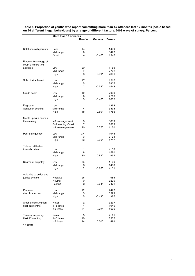| Row %<br>Gamma<br>Base n<br>Relations with parents<br>14<br>1499<br>Poor<br>Mid-range<br>3422<br>6<br>Good<br>4<br>$-0.40*$<br>1948<br>Parents' knowledge of<br>youth's leisure time<br>activities<br>1185<br>Low<br>20<br>Mid-range<br>7<br>2782<br>3<br>$-0.59*$<br>2896<br>High<br>School attachment<br>Low<br>17<br>1516<br>Mid-range<br>3805<br>5<br>3<br>High<br>$-0.54*$<br>1543<br>Grade score<br>12<br>Low<br>2098<br>Mid-range<br>6<br>2716<br>3<br>2007<br>High<br>$-0.40*$<br>Degree of<br>Low<br>1<br>1298<br>Sensation seeking<br>Mid-range<br>4<br>3833<br>1756<br>High<br>18<br>$0.69*$<br>Meets up with peers in<br>the evening<br><3 evenings/week<br>3359<br>З<br>3-4 evenings/week<br>7<br>2329<br>>4 evenings/week<br>1130<br>20<br>$0.57*$<br>Peer delinquency<br>0.4<br>1945<br>Low<br>Mid-range<br>3<br>3124<br>23<br>1747<br>High<br>$0.86*$<br>Tolerant attitudes<br>towards crime<br>1<br>4158<br>Low<br>Mid-range<br>8<br>1580<br>High<br>30<br>$0.82*$<br>994<br>25<br>1106<br>Degree of empathy<br>Low<br>Mid-range<br>1493<br>8<br>$\overline{2}$<br>High<br>$-0.73*$<br>4151<br>Attitudes to police and<br>justice system<br>Negative<br>26<br>985<br>9<br>3299<br>Neutral<br>Positive<br>3<br>$-0.64*$<br>2472<br>Perceived<br>Low<br>12<br>2472<br>risk of detection<br>Mid-range<br>5<br>3299<br>5<br>$-0.42*$<br>High<br>985<br>Alcohol consumption<br>Never<br>2<br>3237<br>(last 12 months)<br>$1-5$ times<br>1949<br>4<br>>5 times<br>21<br>$0.72*$<br>1676<br>Truancy frequency<br>Never<br>3<br>4171<br>(last 12 months)<br>$1-5$ times<br>10<br>2207 | More than 15 offences |    |         |     |  |  |  |  |
|------------------------------------------------------------------------------------------------------------------------------------------------------------------------------------------------------------------------------------------------------------------------------------------------------------------------------------------------------------------------------------------------------------------------------------------------------------------------------------------------------------------------------------------------------------------------------------------------------------------------------------------------------------------------------------------------------------------------------------------------------------------------------------------------------------------------------------------------------------------------------------------------------------------------------------------------------------------------------------------------------------------------------------------------------------------------------------------------------------------------------------------------------------------------------------------------------------------------------------------------------------------------------------------------------------------------------------------------------------------------------------------------------------------------------------------------------------------------------------------------------------------------------------------------------------------------------------------------|-----------------------|----|---------|-----|--|--|--|--|
|                                                                                                                                                                                                                                                                                                                                                                                                                                                                                                                                                                                                                                                                                                                                                                                                                                                                                                                                                                                                                                                                                                                                                                                                                                                                                                                                                                                                                                                                                                                                                                                                |                       |    |         |     |  |  |  |  |
|                                                                                                                                                                                                                                                                                                                                                                                                                                                                                                                                                                                                                                                                                                                                                                                                                                                                                                                                                                                                                                                                                                                                                                                                                                                                                                                                                                                                                                                                                                                                                                                                |                       |    |         |     |  |  |  |  |
|                                                                                                                                                                                                                                                                                                                                                                                                                                                                                                                                                                                                                                                                                                                                                                                                                                                                                                                                                                                                                                                                                                                                                                                                                                                                                                                                                                                                                                                                                                                                                                                                |                       |    |         |     |  |  |  |  |
|                                                                                                                                                                                                                                                                                                                                                                                                                                                                                                                                                                                                                                                                                                                                                                                                                                                                                                                                                                                                                                                                                                                                                                                                                                                                                                                                                                                                                                                                                                                                                                                                |                       |    |         |     |  |  |  |  |
|                                                                                                                                                                                                                                                                                                                                                                                                                                                                                                                                                                                                                                                                                                                                                                                                                                                                                                                                                                                                                                                                                                                                                                                                                                                                                                                                                                                                                                                                                                                                                                                                |                       |    |         |     |  |  |  |  |
|                                                                                                                                                                                                                                                                                                                                                                                                                                                                                                                                                                                                                                                                                                                                                                                                                                                                                                                                                                                                                                                                                                                                                                                                                                                                                                                                                                                                                                                                                                                                                                                                |                       |    |         |     |  |  |  |  |
|                                                                                                                                                                                                                                                                                                                                                                                                                                                                                                                                                                                                                                                                                                                                                                                                                                                                                                                                                                                                                                                                                                                                                                                                                                                                                                                                                                                                                                                                                                                                                                                                |                       |    |         |     |  |  |  |  |
|                                                                                                                                                                                                                                                                                                                                                                                                                                                                                                                                                                                                                                                                                                                                                                                                                                                                                                                                                                                                                                                                                                                                                                                                                                                                                                                                                                                                                                                                                                                                                                                                |                       |    |         |     |  |  |  |  |
|                                                                                                                                                                                                                                                                                                                                                                                                                                                                                                                                                                                                                                                                                                                                                                                                                                                                                                                                                                                                                                                                                                                                                                                                                                                                                                                                                                                                                                                                                                                                                                                                |                       |    |         |     |  |  |  |  |
|                                                                                                                                                                                                                                                                                                                                                                                                                                                                                                                                                                                                                                                                                                                                                                                                                                                                                                                                                                                                                                                                                                                                                                                                                                                                                                                                                                                                                                                                                                                                                                                                |                       |    |         |     |  |  |  |  |
|                                                                                                                                                                                                                                                                                                                                                                                                                                                                                                                                                                                                                                                                                                                                                                                                                                                                                                                                                                                                                                                                                                                                                                                                                                                                                                                                                                                                                                                                                                                                                                                                |                       |    |         |     |  |  |  |  |
|                                                                                                                                                                                                                                                                                                                                                                                                                                                                                                                                                                                                                                                                                                                                                                                                                                                                                                                                                                                                                                                                                                                                                                                                                                                                                                                                                                                                                                                                                                                                                                                                |                       |    |         |     |  |  |  |  |
|                                                                                                                                                                                                                                                                                                                                                                                                                                                                                                                                                                                                                                                                                                                                                                                                                                                                                                                                                                                                                                                                                                                                                                                                                                                                                                                                                                                                                                                                                                                                                                                                |                       |    |         |     |  |  |  |  |
|                                                                                                                                                                                                                                                                                                                                                                                                                                                                                                                                                                                                                                                                                                                                                                                                                                                                                                                                                                                                                                                                                                                                                                                                                                                                                                                                                                                                                                                                                                                                                                                                |                       |    |         |     |  |  |  |  |
|                                                                                                                                                                                                                                                                                                                                                                                                                                                                                                                                                                                                                                                                                                                                                                                                                                                                                                                                                                                                                                                                                                                                                                                                                                                                                                                                                                                                                                                                                                                                                                                                |                       |    |         |     |  |  |  |  |
|                                                                                                                                                                                                                                                                                                                                                                                                                                                                                                                                                                                                                                                                                                                                                                                                                                                                                                                                                                                                                                                                                                                                                                                                                                                                                                                                                                                                                                                                                                                                                                                                |                       |    |         |     |  |  |  |  |
|                                                                                                                                                                                                                                                                                                                                                                                                                                                                                                                                                                                                                                                                                                                                                                                                                                                                                                                                                                                                                                                                                                                                                                                                                                                                                                                                                                                                                                                                                                                                                                                                |                       |    |         |     |  |  |  |  |
|                                                                                                                                                                                                                                                                                                                                                                                                                                                                                                                                                                                                                                                                                                                                                                                                                                                                                                                                                                                                                                                                                                                                                                                                                                                                                                                                                                                                                                                                                                                                                                                                |                       |    |         |     |  |  |  |  |
|                                                                                                                                                                                                                                                                                                                                                                                                                                                                                                                                                                                                                                                                                                                                                                                                                                                                                                                                                                                                                                                                                                                                                                                                                                                                                                                                                                                                                                                                                                                                                                                                |                       |    |         |     |  |  |  |  |
|                                                                                                                                                                                                                                                                                                                                                                                                                                                                                                                                                                                                                                                                                                                                                                                                                                                                                                                                                                                                                                                                                                                                                                                                                                                                                                                                                                                                                                                                                                                                                                                                |                       |    |         |     |  |  |  |  |
|                                                                                                                                                                                                                                                                                                                                                                                                                                                                                                                                                                                                                                                                                                                                                                                                                                                                                                                                                                                                                                                                                                                                                                                                                                                                                                                                                                                                                                                                                                                                                                                                |                       |    |         |     |  |  |  |  |
|                                                                                                                                                                                                                                                                                                                                                                                                                                                                                                                                                                                                                                                                                                                                                                                                                                                                                                                                                                                                                                                                                                                                                                                                                                                                                                                                                                                                                                                                                                                                                                                                |                       |    |         |     |  |  |  |  |
|                                                                                                                                                                                                                                                                                                                                                                                                                                                                                                                                                                                                                                                                                                                                                                                                                                                                                                                                                                                                                                                                                                                                                                                                                                                                                                                                                                                                                                                                                                                                                                                                |                       |    |         |     |  |  |  |  |
|                                                                                                                                                                                                                                                                                                                                                                                                                                                                                                                                                                                                                                                                                                                                                                                                                                                                                                                                                                                                                                                                                                                                                                                                                                                                                                                                                                                                                                                                                                                                                                                                |                       |    |         |     |  |  |  |  |
|                                                                                                                                                                                                                                                                                                                                                                                                                                                                                                                                                                                                                                                                                                                                                                                                                                                                                                                                                                                                                                                                                                                                                                                                                                                                                                                                                                                                                                                                                                                                                                                                |                       |    |         |     |  |  |  |  |
|                                                                                                                                                                                                                                                                                                                                                                                                                                                                                                                                                                                                                                                                                                                                                                                                                                                                                                                                                                                                                                                                                                                                                                                                                                                                                                                                                                                                                                                                                                                                                                                                |                       |    |         |     |  |  |  |  |
|                                                                                                                                                                                                                                                                                                                                                                                                                                                                                                                                                                                                                                                                                                                                                                                                                                                                                                                                                                                                                                                                                                                                                                                                                                                                                                                                                                                                                                                                                                                                                                                                |                       |    |         |     |  |  |  |  |
|                                                                                                                                                                                                                                                                                                                                                                                                                                                                                                                                                                                                                                                                                                                                                                                                                                                                                                                                                                                                                                                                                                                                                                                                                                                                                                                                                                                                                                                                                                                                                                                                |                       |    |         |     |  |  |  |  |
|                                                                                                                                                                                                                                                                                                                                                                                                                                                                                                                                                                                                                                                                                                                                                                                                                                                                                                                                                                                                                                                                                                                                                                                                                                                                                                                                                                                                                                                                                                                                                                                                |                       |    |         |     |  |  |  |  |
|                                                                                                                                                                                                                                                                                                                                                                                                                                                                                                                                                                                                                                                                                                                                                                                                                                                                                                                                                                                                                                                                                                                                                                                                                                                                                                                                                                                                                                                                                                                                                                                                |                       |    |         |     |  |  |  |  |
|                                                                                                                                                                                                                                                                                                                                                                                                                                                                                                                                                                                                                                                                                                                                                                                                                                                                                                                                                                                                                                                                                                                                                                                                                                                                                                                                                                                                                                                                                                                                                                                                |                       |    |         |     |  |  |  |  |
|                                                                                                                                                                                                                                                                                                                                                                                                                                                                                                                                                                                                                                                                                                                                                                                                                                                                                                                                                                                                                                                                                                                                                                                                                                                                                                                                                                                                                                                                                                                                                                                                |                       |    |         |     |  |  |  |  |
|                                                                                                                                                                                                                                                                                                                                                                                                                                                                                                                                                                                                                                                                                                                                                                                                                                                                                                                                                                                                                                                                                                                                                                                                                                                                                                                                                                                                                                                                                                                                                                                                |                       |    |         |     |  |  |  |  |
|                                                                                                                                                                                                                                                                                                                                                                                                                                                                                                                                                                                                                                                                                                                                                                                                                                                                                                                                                                                                                                                                                                                                                                                                                                                                                                                                                                                                                                                                                                                                                                                                |                       |    |         |     |  |  |  |  |
|                                                                                                                                                                                                                                                                                                                                                                                                                                                                                                                                                                                                                                                                                                                                                                                                                                                                                                                                                                                                                                                                                                                                                                                                                                                                                                                                                                                                                                                                                                                                                                                                |                       |    |         |     |  |  |  |  |
|                                                                                                                                                                                                                                                                                                                                                                                                                                                                                                                                                                                                                                                                                                                                                                                                                                                                                                                                                                                                                                                                                                                                                                                                                                                                                                                                                                                                                                                                                                                                                                                                |                       |    |         |     |  |  |  |  |
|                                                                                                                                                                                                                                                                                                                                                                                                                                                                                                                                                                                                                                                                                                                                                                                                                                                                                                                                                                                                                                                                                                                                                                                                                                                                                                                                                                                                                                                                                                                                                                                                |                       |    |         |     |  |  |  |  |
|                                                                                                                                                                                                                                                                                                                                                                                                                                                                                                                                                                                                                                                                                                                                                                                                                                                                                                                                                                                                                                                                                                                                                                                                                                                                                                                                                                                                                                                                                                                                                                                                |                       |    |         |     |  |  |  |  |
|                                                                                                                                                                                                                                                                                                                                                                                                                                                                                                                                                                                                                                                                                                                                                                                                                                                                                                                                                                                                                                                                                                                                                                                                                                                                                                                                                                                                                                                                                                                                                                                                |                       |    |         |     |  |  |  |  |
|                                                                                                                                                                                                                                                                                                                                                                                                                                                                                                                                                                                                                                                                                                                                                                                                                                                                                                                                                                                                                                                                                                                                                                                                                                                                                                                                                                                                                                                                                                                                                                                                |                       |    |         |     |  |  |  |  |
|                                                                                                                                                                                                                                                                                                                                                                                                                                                                                                                                                                                                                                                                                                                                                                                                                                                                                                                                                                                                                                                                                                                                                                                                                                                                                                                                                                                                                                                                                                                                                                                                |                       |    |         |     |  |  |  |  |
|                                                                                                                                                                                                                                                                                                                                                                                                                                                                                                                                                                                                                                                                                                                                                                                                                                                                                                                                                                                                                                                                                                                                                                                                                                                                                                                                                                                                                                                                                                                                                                                                |                       |    |         |     |  |  |  |  |
|                                                                                                                                                                                                                                                                                                                                                                                                                                                                                                                                                                                                                                                                                                                                                                                                                                                                                                                                                                                                                                                                                                                                                                                                                                                                                                                                                                                                                                                                                                                                                                                                |                       |    |         |     |  |  |  |  |
|                                                                                                                                                                                                                                                                                                                                                                                                                                                                                                                                                                                                                                                                                                                                                                                                                                                                                                                                                                                                                                                                                                                                                                                                                                                                                                                                                                                                                                                                                                                                                                                                |                       |    |         |     |  |  |  |  |
|                                                                                                                                                                                                                                                                                                                                                                                                                                                                                                                                                                                                                                                                                                                                                                                                                                                                                                                                                                                                                                                                                                                                                                                                                                                                                                                                                                                                                                                                                                                                                                                                |                       |    |         |     |  |  |  |  |
|                                                                                                                                                                                                                                                                                                                                                                                                                                                                                                                                                                                                                                                                                                                                                                                                                                                                                                                                                                                                                                                                                                                                                                                                                                                                                                                                                                                                                                                                                                                                                                                                |                       |    |         |     |  |  |  |  |
|                                                                                                                                                                                                                                                                                                                                                                                                                                                                                                                                                                                                                                                                                                                                                                                                                                                                                                                                                                                                                                                                                                                                                                                                                                                                                                                                                                                                                                                                                                                                                                                                |                       |    |         |     |  |  |  |  |
|                                                                                                                                                                                                                                                                                                                                                                                                                                                                                                                                                                                                                                                                                                                                                                                                                                                                                                                                                                                                                                                                                                                                                                                                                                                                                                                                                                                                                                                                                                                                                                                                |                       |    |         |     |  |  |  |  |
|                                                                                                                                                                                                                                                                                                                                                                                                                                                                                                                                                                                                                                                                                                                                                                                                                                                                                                                                                                                                                                                                                                                                                                                                                                                                                                                                                                                                                                                                                                                                                                                                |                       |    |         |     |  |  |  |  |
|                                                                                                                                                                                                                                                                                                                                                                                                                                                                                                                                                                                                                                                                                                                                                                                                                                                                                                                                                                                                                                                                                                                                                                                                                                                                                                                                                                                                                                                                                                                                                                                                |                       |    |         |     |  |  |  |  |
|                                                                                                                                                                                                                                                                                                                                                                                                                                                                                                                                                                                                                                                                                                                                                                                                                                                                                                                                                                                                                                                                                                                                                                                                                                                                                                                                                                                                                                                                                                                                                                                                |                       |    |         |     |  |  |  |  |
|                                                                                                                                                                                                                                                                                                                                                                                                                                                                                                                                                                                                                                                                                                                                                                                                                                                                                                                                                                                                                                                                                                                                                                                                                                                                                                                                                                                                                                                                                                                                                                                                |                       |    |         |     |  |  |  |  |
|                                                                                                                                                                                                                                                                                                                                                                                                                                                                                                                                                                                                                                                                                                                                                                                                                                                                                                                                                                                                                                                                                                                                                                                                                                                                                                                                                                                                                                                                                                                                                                                                |                       |    |         |     |  |  |  |  |
|                                                                                                                                                                                                                                                                                                                                                                                                                                                                                                                                                                                                                                                                                                                                                                                                                                                                                                                                                                                                                                                                                                                                                                                                                                                                                                                                                                                                                                                                                                                                                                                                |                       |    |         |     |  |  |  |  |
|                                                                                                                                                                                                                                                                                                                                                                                                                                                                                                                                                                                                                                                                                                                                                                                                                                                                                                                                                                                                                                                                                                                                                                                                                                                                                                                                                                                                                                                                                                                                                                                                |                       |    |         |     |  |  |  |  |
|                                                                                                                                                                                                                                                                                                                                                                                                                                                                                                                                                                                                                                                                                                                                                                                                                                                                                                                                                                                                                                                                                                                                                                                                                                                                                                                                                                                                                                                                                                                                                                                                |                       |    |         |     |  |  |  |  |
|                                                                                                                                                                                                                                                                                                                                                                                                                                                                                                                                                                                                                                                                                                                                                                                                                                                                                                                                                                                                                                                                                                                                                                                                                                                                                                                                                                                                                                                                                                                                                                                                |                       |    |         |     |  |  |  |  |
|                                                                                                                                                                                                                                                                                                                                                                                                                                                                                                                                                                                                                                                                                                                                                                                                                                                                                                                                                                                                                                                                                                                                                                                                                                                                                                                                                                                                                                                                                                                                                                                                |                       |    |         |     |  |  |  |  |
|                                                                                                                                                                                                                                                                                                                                                                                                                                                                                                                                                                                                                                                                                                                                                                                                                                                                                                                                                                                                                                                                                                                                                                                                                                                                                                                                                                                                                                                                                                                                                                                                | >5 times              | 34 | $0.70*$ | 496 |  |  |  |  |

**Table 5. Proportion of youths who report committing more than 15 offences last 12 months (scale based on 24 different illegal behaviours) by a range of different factors. 2008 wave of survey. Percent.** 

 $*$  p<0.01